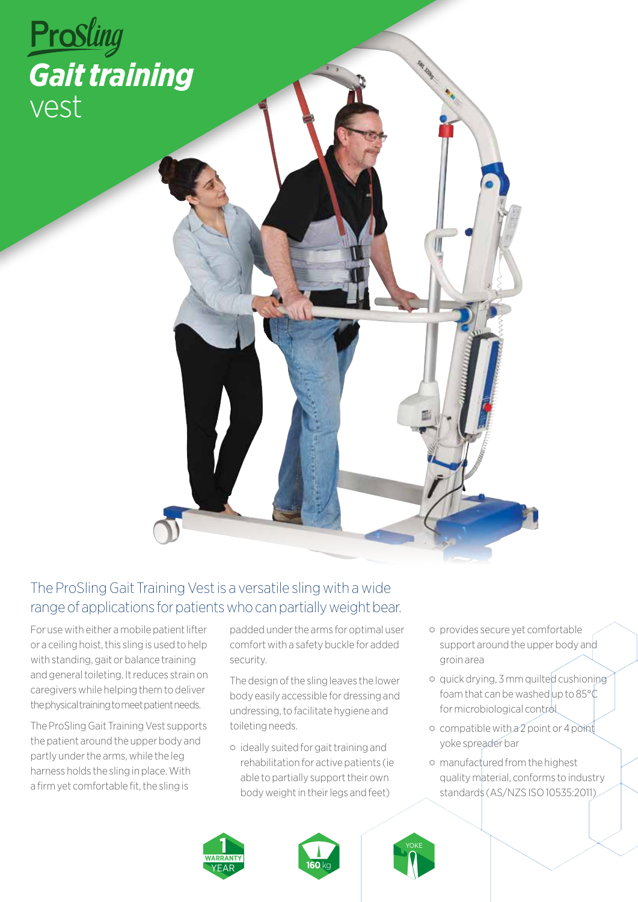

## The ProSling Gait Training Vest is a versatile sling with a wide range of applications for patients who can partially weight bear.

For use with either a mobile patient lifter or a ceiling hoist, this sling is used to help with standing, gait or balance training and general toileting. It reduces strain on caregivers while helping them to deliver the physical training to meet patient needs.

The ProSling Gait Training Vest supports the patient around the upper body and partly under the arms, while the leg harness holds the sling in place. With a firm yet comfortable fit, the sling is

padded under the arms for optimal user comfort with a safety buckle for added security.

The design of the sling leaves the lower body easily accessible for dressing and undressing, to facilitate hygiene and toileting needs.

- ⬡ ideally suited for gait training and rehabilitation for active patients (ie able to partially support their own body weight in their legs and feet)
- ⬡ provides secure yet comfortable support around the upper body and groin area
- ⬡ quick drying, 3 mm quilted cushioning foam that can be washed up to  $85^{\circ}$ C for microbiological control
- ⬡ compatible with a 2 point or 4 point yoke spreader bar
- ⬡ manufactured from the highest quality material, conforms to industry standards (AS/NZS ISO 10535:2011)